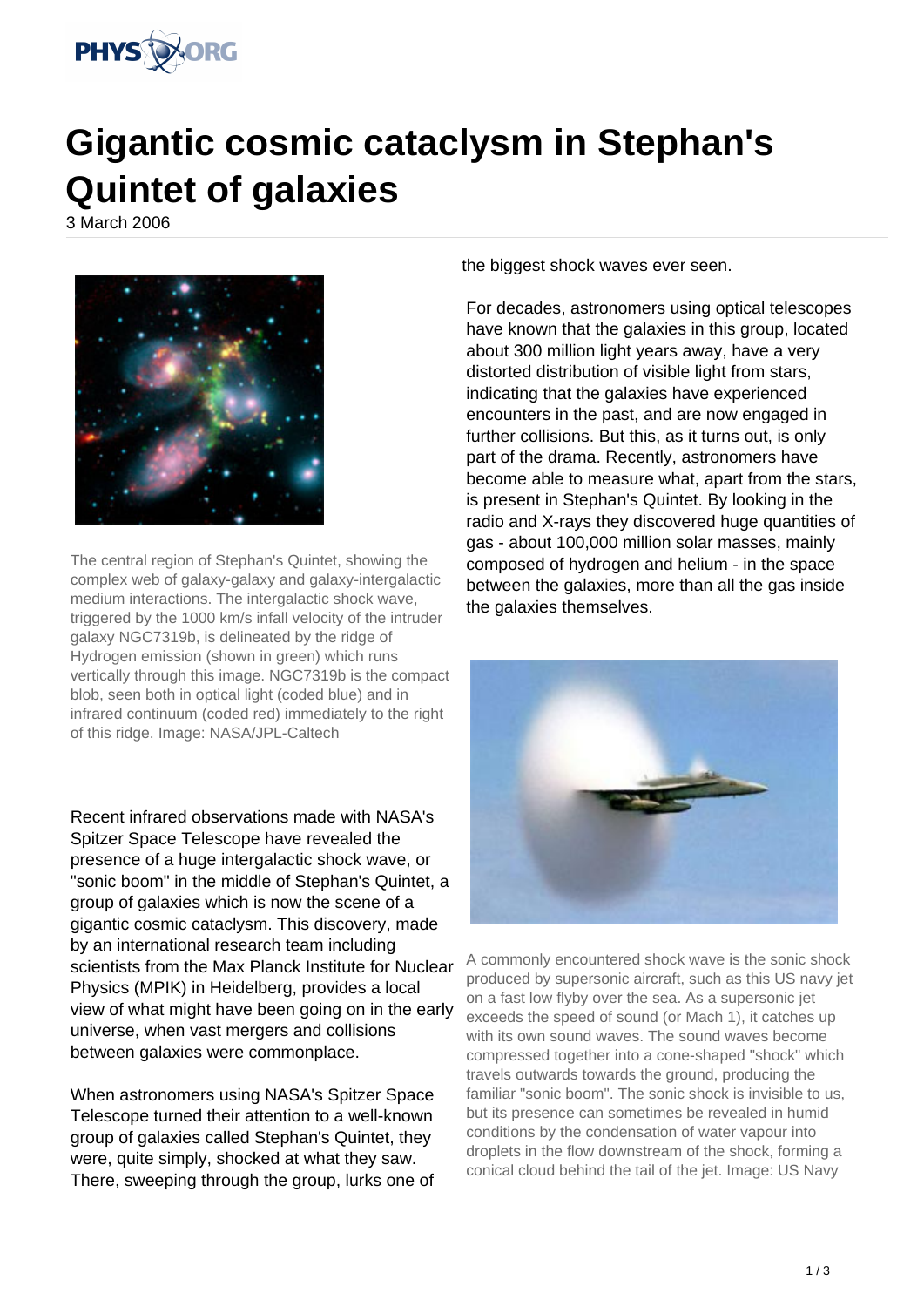

## **Gigantic cosmic cataclysm in Stephan's Quintet of galaxies**

3 March 2006



The central region of Stephan's Quintet, showing the complex web of galaxy-galaxy and galaxy-intergalactic medium interactions. The intergalactic shock wave, triggered by the 1000 km/s infall velocity of the intruder galaxy NGC7319b, is delineated by the ridge of Hydrogen emission (shown in green) which runs vertically through this image. NGC7319b is the compact blob, seen both in optical light (coded blue) and in infrared continuum (coded red) immediately to the right of this ridge. Image: NASA/JPL-Caltech

Recent infrared observations made with NASA's Spitzer Space Telescope have revealed the presence of a huge intergalactic shock wave, or "sonic boom" in the middle of Stephan's Quintet, a group of galaxies which is now the scene of a gigantic cosmic cataclysm. This discovery, made by an international research team including scientists from the Max Planck Institute for Nuclear Physics (MPIK) in Heidelberg, provides a local view of what might have been going on in the early universe, when vast mergers and collisions between galaxies were commonplace.

When astronomers using NASA's Spitzer Space Telescope turned their attention to a well-known group of galaxies called Stephan's Quintet, they were, quite simply, shocked at what they saw. There, sweeping through the group, lurks one of the biggest shock waves ever seen.

For decades, astronomers using optical telescopes have known that the galaxies in this group, located about 300 million light years away, have a very distorted distribution of visible light from stars, indicating that the galaxies have experienced encounters in the past, and are now engaged in further collisions. But this, as it turns out, is only part of the drama. Recently, astronomers have become able to measure what, apart from the stars, is present in Stephan's Quintet. By looking in the radio and X-rays they discovered huge quantities of gas - about 100,000 million solar masses, mainly composed of hydrogen and helium - in the space between the galaxies, more than all the gas inside the galaxies themselves.



A commonly encountered shock wave is the sonic shock produced by supersonic aircraft, such as this US navy jet on a fast low flyby over the sea. As a supersonic jet exceeds the speed of sound (or Mach 1), it catches up with its own sound waves. The sound waves become compressed together into a cone-shaped "shock" which travels outwards towards the ground, producing the familiar "sonic boom". The sonic shock is invisible to us, but its presence can sometimes be revealed in humid conditions by the condensation of water vapour into droplets in the flow downstream of the shock, forming a conical cloud behind the tail of the jet. Image: US Navy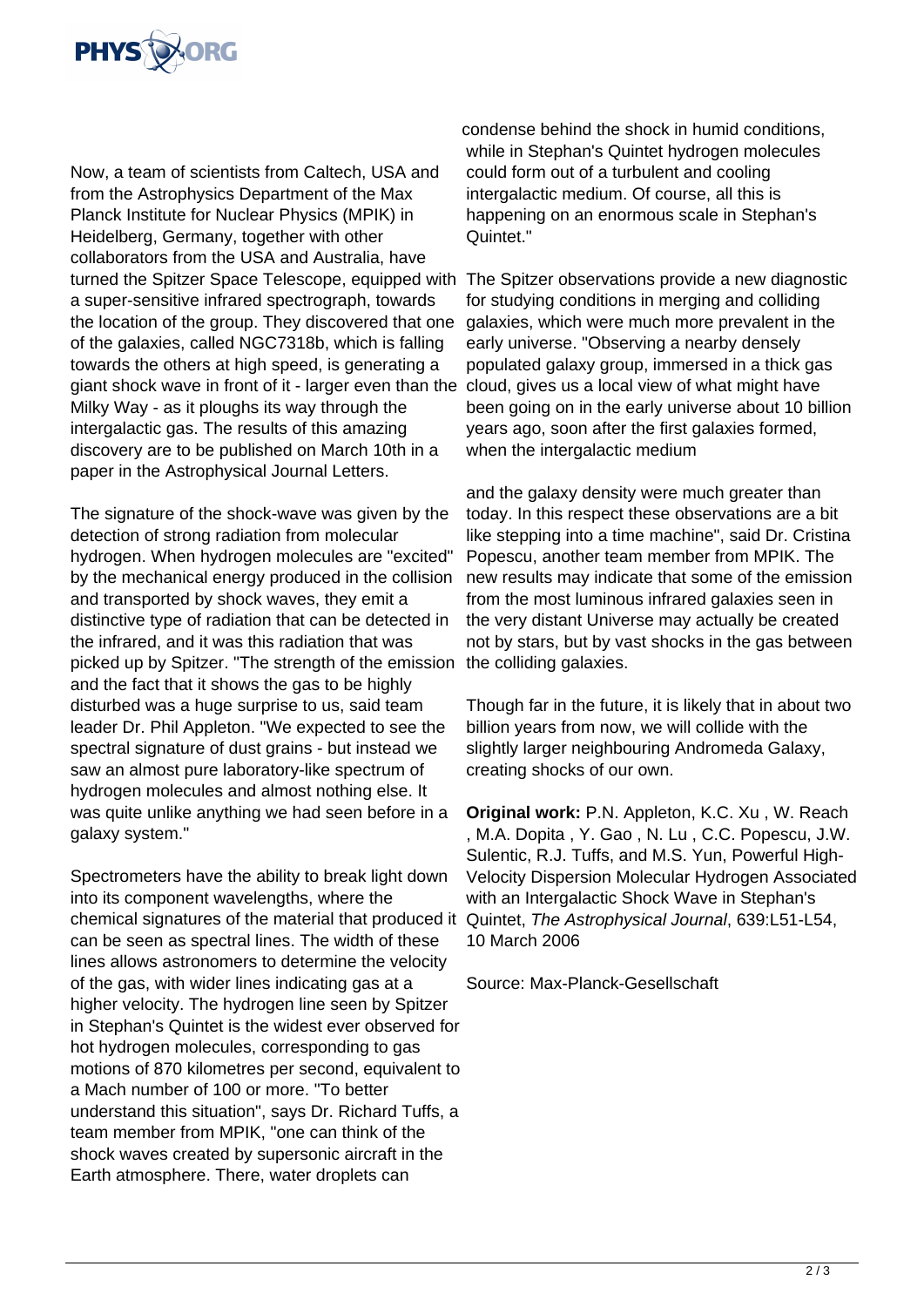

Now, a team of scientists from Caltech, USA and from the Astrophysics Department of the Max Planck Institute for Nuclear Physics (MPIK) in Heidelberg, Germany, together with other collaborators from the USA and Australia, have turned the Spitzer Space Telescope, equipped with The Spitzer observations provide a new diagnostic a super-sensitive infrared spectrograph, towards the location of the group. They discovered that one of the galaxies, called NGC7318b, which is falling towards the others at high speed, is generating a giant shock wave in front of it - larger even than the Milky Way - as it ploughs its way through the intergalactic gas. The results of this amazing discovery are to be published on March 10th in a paper in the Astrophysical Journal Letters.

The signature of the shock-wave was given by the detection of strong radiation from molecular hydrogen. When hydrogen molecules are "excited" by the mechanical energy produced in the collision and transported by shock waves, they emit a distinctive type of radiation that can be detected in the infrared, and it was this radiation that was picked up by Spitzer. "The strength of the emission and the fact that it shows the gas to be highly disturbed was a huge surprise to us, said team leader Dr. Phil Appleton. "We expected to see the spectral signature of dust grains - but instead we saw an almost pure laboratory-like spectrum of hydrogen molecules and almost nothing else. It was quite unlike anything we had seen before in a galaxy system."

Spectrometers have the ability to break light down into its component wavelengths, where the chemical signatures of the material that produced it can be seen as spectral lines. The width of these lines allows astronomers to determine the velocity of the gas, with wider lines indicating gas at a higher velocity. The hydrogen line seen by Spitzer in Stephan's Quintet is the widest ever observed for hot hydrogen molecules, corresponding to gas motions of 870 kilometres per second, equivalent to a Mach number of 100 or more. "To better understand this situation", says Dr. Richard Tuffs, a team member from MPIK, "one can think of the shock waves created by supersonic aircraft in the Earth atmosphere. There, water droplets can

condense behind the shock in humid conditions, while in Stephan's Quintet hydrogen molecules could form out of a turbulent and cooling intergalactic medium. Of course, all this is happening on an enormous scale in Stephan's Quintet."

for studying conditions in merging and colliding galaxies, which were much more prevalent in the early universe. "Observing a nearby densely populated galaxy group, immersed in a thick gas cloud, gives us a local view of what might have been going on in the early universe about 10 billion years ago, soon after the first galaxies formed, when the intergalactic medium

and the galaxy density were much greater than today. In this respect these observations are a bit like stepping into a time machine", said Dr. Cristina Popescu, another team member from MPIK. The new results may indicate that some of the emission from the most luminous infrared galaxies seen in the very distant Universe may actually be created not by stars, but by vast shocks in the gas between the colliding galaxies.

Though far in the future, it is likely that in about two billion years from now, we will collide with the slightly larger neighbouring Andromeda Galaxy, creating shocks of our own.

**Original work:** P.N. Appleton, K.C. Xu , W. Reach , M.A. Dopita , Y. Gao , N. Lu , C.C. Popescu, J.W. Sulentic, R.J. Tuffs, and M.S. Yun, Powerful High-Velocity Dispersion Molecular Hydrogen Associated with an Intergalactic Shock Wave in Stephan's Quintet, The Astrophysical Journal, 639:L51-L54, 10 March 2006

Source: Max-Planck-Gesellschaft